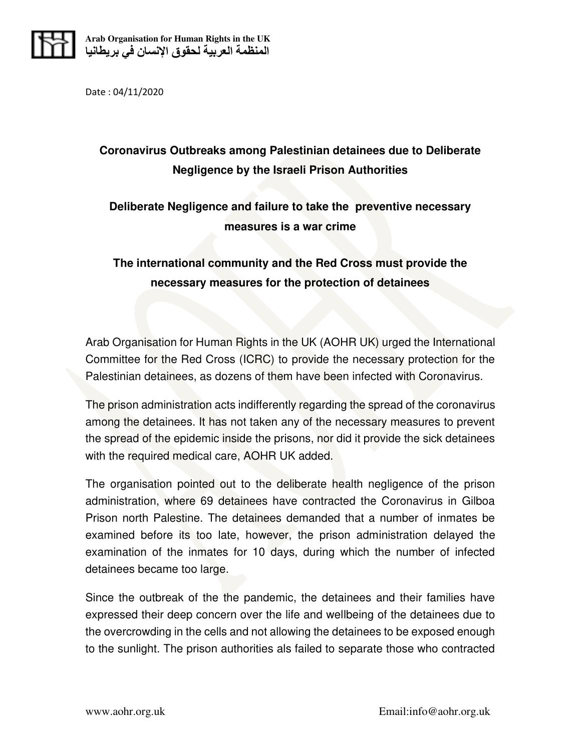

Date : 04/11/2020

## **Coronavirus Outbreaks among Palestinian detainees due to Deliberate Negligence by the Israeli Prison Authorities**

## **Deliberate Negligence and failure to take the preventive necessary measures is a war crime**

## **The international community and the Red Cross must provide the necessary measures for the protection of detainees**

Arab Organisation for Human Rights in the UK (AOHR UK) urged the International Committee for the Red Cross (ICRC) to provide the necessary protection for the Palestinian detainees, as dozens of them have been infected with Coronavirus.

The prison administration acts indifferently regarding the spread of the coronavirus among the detainees. It has not taken any of the necessary measures to prevent the spread of the epidemic inside the prisons, nor did it provide the sick detainees with the required medical care, AOHR UK added.

The organisation pointed out to the deliberate health negligence of the prison administration, where 69 detainees have contracted the Coronavirus in Gilboa Prison north Palestine. The detainees demanded that a number of inmates be examined before its too late, however, the prison administration delayed the examination of the inmates for 10 days, during which the number of infected detainees became too large.

Since the outbreak of the the pandemic, the detainees and their families have expressed their deep concern over the life and wellbeing of the detainees due to the overcrowding in the cells and not allowing the detainees to be exposed enough to the sunlight. The prison authorities als failed to separate those who contracted